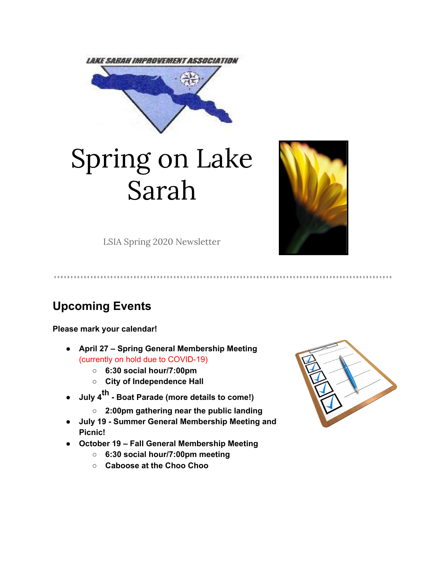

# Spring on Lake Sarah



LSIA Spring 2020 Newsletter

# **Upcoming Events**

**Please mark your calendar!**

- **● April 27 – Spring General Membership Meeting** (currently on hold due to COVID-19)
	- **○ 6:30 social hour/7:00pm**
	- **○ City of Independence Hall**
- **● July 4 th - Boat Parade (more details to come!)**
	- **○ 2:00pm gathering near the public landing**
- **● July 19 - Summer General Membership Meeting and Picnic!**
- **● October 19 – Fall General Membership Meeting**
	- **○ 6:30 social hour/7:00pm meeting**
	- **○ Caboose at the Choo Choo**

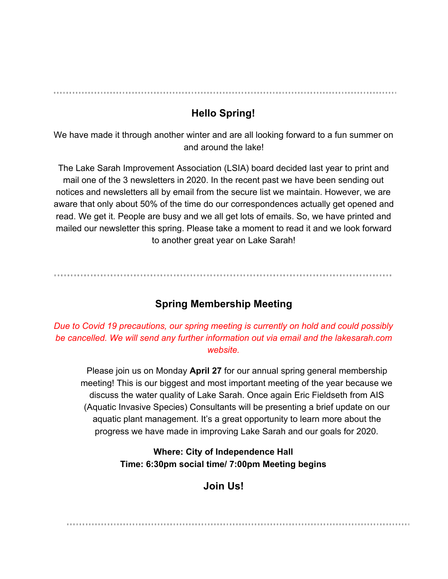# **Hello Spring!**

We have made it through another winter and are all looking forward to a fun summer on and around the lake!

The Lake Sarah Improvement Association (LSIA) board decided last year to print and mail one of the 3 newsletters in 2020. In the recent past we have been sending out notices and newsletters all by email from the secure list we maintain. However, we are aware that only about 50% of the time do our correspondences actually get opened and read. We get it. People are busy and we all get lots of emails. So, we have printed and mailed our newsletter this spring. Please take a moment to read it and we look forward to another great year on Lake Sarah!

# **Spring Membership Meeting**

*Due to Covid 19 precautions, our spring meeting is currently on hold and could possibly be cancelled. We will send any further information out via email and the lakesarah.com website.*

Please join us on Monday **April 27** for our annual spring general membership meeting! This is our biggest and most important meeting of the year because we discuss the water quality of Lake Sarah. Once again Eric Fieldseth from AIS (Aquatic Invasive Species) Consultants will be presenting a brief update on our aquatic plant management. It's a great opportunity to learn more about the progress we have made in improving Lake Sarah and our goals for 2020.

> **Where: City of Independence Hall Time: 6:30pm social time/ 7:00pm Meeting begins**

# **Join Us!**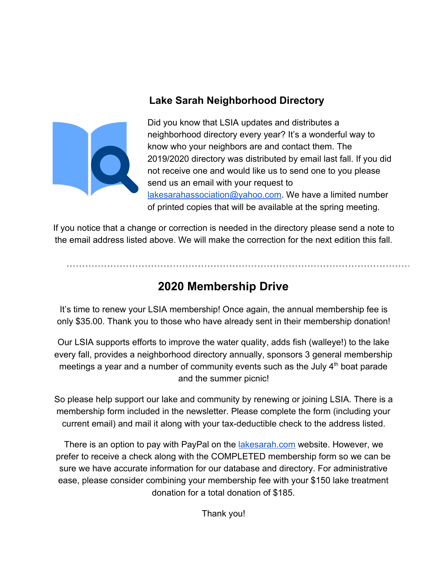# **Lake Sarah Neighborhood Directory**



Did you know that LSIA updates and distributes a neighborhood directory every year? It's a wonderful way to know who your neighbors are and contact them. The 2019/2020 directory was distributed by email last fall. If you did not receive one and would like us to send one to you please send us an email with your request to [lakesarahassociation@yahoo.com.](mailto:lakesarahassociation@yahoo.com) We have a limited number of printed copies that will be available at the spring meeting.

If you notice that a change or correction is needed in the directory please send a note to the email address listed above. We will make the correction for the next edition this fall.

# **2020 Membership Drive**

It's time to renew your LSIA membership! Once again, the annual membership fee is only \$35.00. Thank you to those who have already sent in their membership donation!

Our LSIA supports efforts to improve the water quality, adds fish (walleye!) to the lake every fall, provides a neighborhood directory annually, sponsors 3 general membership meetings a year and a number of community events such as the July  $4<sup>th</sup>$  boat parade and the summer picnic!

So please help support our lake and community by renewing or joining LSIA. There is a membership form included in the newsletter. Please complete the form (including your current email) and mail it along with your tax-deductible check to the address listed.

There is an option to pay with PayPal on the *lakesarah.com* website. However, we prefer to receive a check along with the COMPLETED membership form so we can be sure we have accurate information for our database and directory. For administrative ease, please consider combining your membership fee with your \$150 lake treatment donation for a total donation of \$185.

Thank you!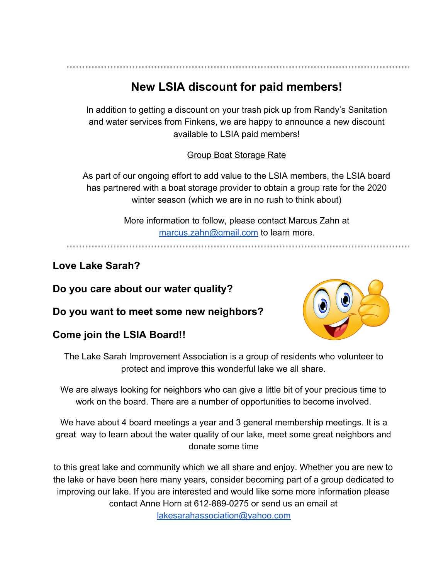# **New LSIA discount for paid members!**

In addition to getting a discount on your trash pick up from Randy's Sanitation and water services from Finkens, we are happy to announce a new discount available to LSIA paid members!

#### Group Boat Storage Rate

As part of our ongoing effort to add value to the LSIA members, the LSIA board has partnered with a boat storage provider to obtain a group rate for the 2020 winter season (which we are in no rush to think about)

> More information to follow, please contact Marcus Zahn at [marcus.zahn@gmail.com](mailto:marcus.zahn@gmail.com) to learn more.

# **Love Lake Sarah?**

**Do you care about our water quality?**

**Do you want to meet some new neighbors?**

# **Come join the LSIA Board!!**



The Lake Sarah Improvement Association is a group of residents who volunteer to protect and improve this wonderful lake we all share.

We are always looking for neighbors who can give a little bit of your precious time to work on the board. There are a number of opportunities to become involved.

We have about 4 board meetings a year and 3 general membership meetings. It is a great way to learn about the water quality of our lake, meet some great neighbors and donate some time

to this great lake and community which we all share and enjoy. Whether you are new to the lake or have been here many years, consider becoming part of a group dedicated to improving our lake. If you are interested and would like some more information please contact Anne Horn at 612-889-0275 or send us an email at

[lakesarahassociation@yahoo.com](mailto:lakesarahassociation@yahoo.com)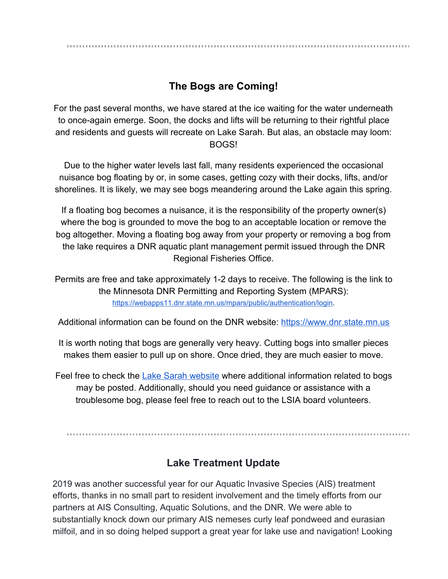# **The Bogs are Coming!**

For the past several months, we have stared at the ice waiting for the water underneath to once-again emerge. Soon, the docks and lifts will be returning to their rightful place and residents and guests will recreate on Lake Sarah. But alas, an obstacle may loom: BOGS!

Due to the higher water levels last fall, many residents experienced the occasional nuisance bog floating by or, in some cases, getting cozy with their docks, lifts, and/or shorelines. It is likely, we may see bogs meandering around the Lake again this spring.

If a floating bog becomes a nuisance, it is the responsibility of the property owner(s) where the bog is grounded to move the bog to an acceptable location or remove the bog altogether. Moving a floating bog away from your property or removing a bog from the lake requires a DNR aquatic plant management permit issued through the DNR Regional Fisheries Office.

Permits are free and take approximately 1-2 days to receive. The following is the link to the Minnesota DNR Permitting and Reporting System (MPARS)[:](https://webapps11.dnr.state.mn.us/mpars/public/authentication/login) [https://webapps11.dnr.state.mn.us/mpars/public/authentication/login.](https://webapps11.dnr.state.mn.us/mpars/public/authentication/login)

Additional information can be found on the DNR website: [https://www.dnr.state.mn.us](https://www.dnr.state.mn.us/)

It is worth noting that bogs are generally very heavy. Cutting bogs into smaller pieces makes them easier to pull up on shore. Once dried, they are much easier to move.

Feel free to check the [Lake Sarah website](http://lakesarah.com/) where additional information related to bogs may be posted. Additionally, should you need guidance or assistance with a troublesome bog, please feel free to reach out to the LSIA board volunteers.

# **Lake Treatment Update**

2019 was another successful year for our Aquatic Invasive Species (AIS) treatment efforts, thanks in no small part to resident involvement and the timely efforts from our partners at AIS Consulting, Aquatic Solutions, and the DNR. We were able to substantially knock down our primary AIS nemeses curly leaf pondweed and eurasian milfoil, and in so doing helped support a great year for lake use and navigation! Looking